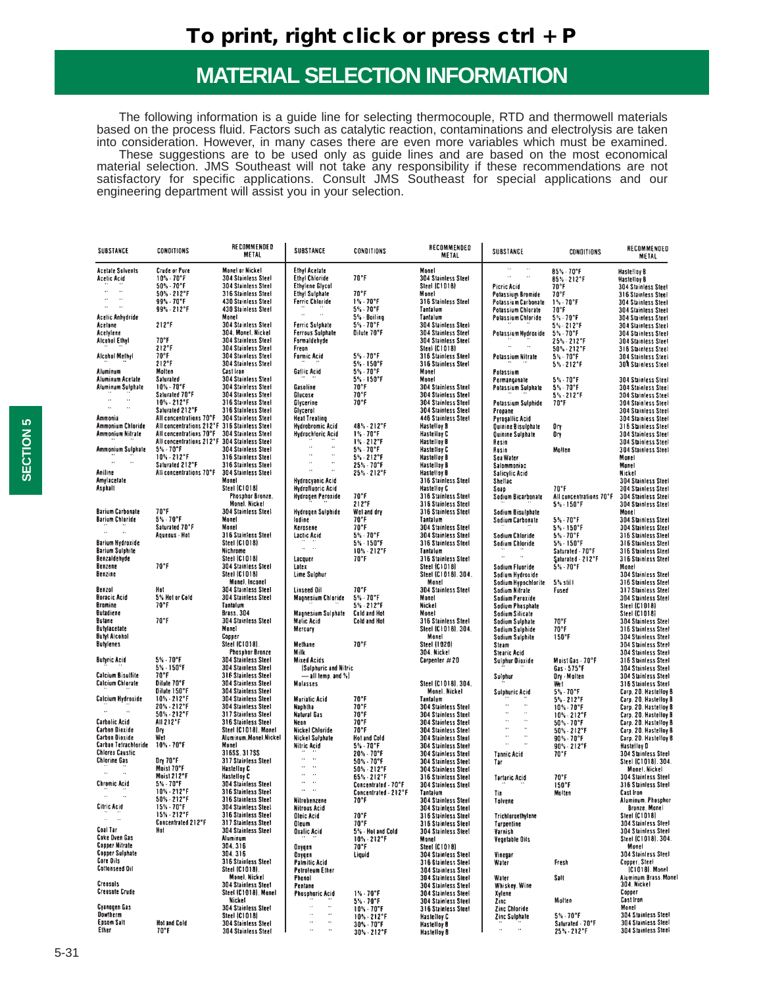The following information is a guide line for selecting thermocouple, RTD and thermowell materials based on the process fluid. Factors such as catalytic reaction, contaminations and electrolysis are taken into consideration. However, in many cases there are even more variables which must be examined. These suggestions are to be used only as guide lines and are based on the most economical material selection. JMS Southeast will not take any responsibility if these recommendations are not satisfactory for specific applications. Consult JMS Southeast for special applications and our engineering department will assist you in your selection.

| SUBSTANCE                                         | <b>CONDITIONS</b>                                                                           | RECOMMENDED<br>METAL                              | SUBSTANCE                                         | <b>CONDITIONS</b>                        | RECOMMENDED<br>METAL                                     | SUBSTANCE                                                    | <b>CONDITIONS</b>                                       | RECOMMENDED<br>METAL                              |
|---------------------------------------------------|---------------------------------------------------------------------------------------------|---------------------------------------------------|---------------------------------------------------|------------------------------------------|----------------------------------------------------------|--------------------------------------------------------------|---------------------------------------------------------|---------------------------------------------------|
| <b>Acetate Solvents</b>                           | Crude or Pure                                                                               | <b>Monei or Nickel</b>                            | Ethyl Acetate                                     |                                          | Monel                                                    | $\sim$<br>$\sim$<br>$\alpha = 1$ , $\alpha$                  | 85% 70°F                                                | Hastelloy B                                       |
| Acetic Acid                                       | $10\% \cdot 70\degree F$                                                                    | <b>304 Stainless Steel</b>                        | <b>Ethyl Chioride</b>                             | 70°F                                     | 304 Stainless Steel                                      |                                                              | 85% - 212°F                                             | <b>Hastelloy B</b>                                |
| $\sim$ $\alpha$<br>$\hat{\theta}$                 | $50\% - 70\degree$ F<br>$50\% \cdot 212^{\circ}F$                                           | 304 Stainless Steel<br>316 Stainless Steel        | <b>Ethylene Glycol</b><br>Ethyl Sulphate          | $70^{\circ}$ F                           | Steel (C1018)<br>Monel                                   | Picric Acid<br>Potassium Bromide                             | 70°F<br>$70^{\circ}$ F                                  | 304 Stainless Steel                               |
| $\sim$<br>$\sim$                                  | $99\% \cdot 70\degree$ F                                                                    | 430 Stainless Steel                               | <b>Ferric Chloride</b>                            | $1\% \cdot 70^{\circ}$ F                 | 316 Stainless Steel                                      | Potassium Carbonate                                          | $1\% \cdot 70$ °F                                       | 316 Stainless Steel<br>304 Stainless Steel        |
| $\sim$<br>$\sim$                                  | 99% - 212°F                                                                                 | 430 Stainless Steel                               | $\sim$ $\omega$<br>$\mathcal{L}_{\mathcal{F}}$    | $5\% \cdot 70$ °F                        | Tantalum                                                 | Potassium Chlorate                                           | 70°F                                                    | 304 Stainless Steel                               |
| Acetic Anhydride                                  |                                                                                             | Monel                                             |                                                   | 5% - Boiling                             | Tantalum                                                 | Potassium Chloride                                           | $5\% \cdot 70\degree F$                                 | 304 Stainless Steel                               |
| Acetone                                           | 212°F                                                                                       | 304 Stainless Steel<br>304. Monel. Nickel         | Ferric Sulphate<br><b>Ferrous Sulphate</b>        | $5\% \cdot 70\degree F$<br>Dilute 70°F   | 304 Stainless Steel<br>304 Stainless Steel               |                                                              | $5\% - 212$ °F                                          | 304 Stainless Steel<br>304 Stainless Steel        |
| Acetylene<br>Alcohol Ethyl                        | 70°F                                                                                        | <b>304 Stainless Steel</b>                        | Formaldehyde                                      |                                          | 304 Stainless Steel                                      | Potassium Hydroxide 5% - 70°F                                | $25% - 212°F$                                           | 304 Stainless Steel                               |
|                                                   | 212°F                                                                                       | 304 Stainless Steel                               | Freon                                             |                                          | Steel (C1018)                                            |                                                              | $50\% \cdot 212\degree F$                               | 316 Stainless Steel                               |
| Alcohol Methyl                                    | 70°F                                                                                        | <b>304 Stainless Steel</b>                        | Formic Acid                                       | $5\% \cdot 70\degree F$                  | 316 Stainless Steel                                      | Potassium Nitrate                                            | $5\% \cdot 70\degree$ F<br>$5\% \cdot 212\degree$ F     | 304 Stainless Steel                               |
| Aluminum                                          | 212°F<br>Molten                                                                             | <b>304 Stainless Steel</b><br>Cast Iron           | Gallic Acid                                       | $5\% - 150$ °F<br>$5\% \cdot 70$ °F      | 316 Stainless Steel<br>Monet                             | Potassium                                                    |                                                         | 304 Stainless Steel                               |
| Aluminum Acetate                                  | Saturated                                                                                   | 304 Stainless Steel                               |                                                   | $5\% \cdot 150^{\circ}$ F                | Monel                                                    | Permanganate                                                 | $5\% \cdot 70\degree$ F                                 | 304 Stainless Steel                               |
| Aluminum Sulphate                                 | $10\% \cdot 70$ °F                                                                          | 304 Stainless Steel                               | Gasoline                                          | 70°F                                     | <b>304 Stainless Steel</b>                               | Potassium Sulphate                                           | $5\% \cdot 70\degree F$                                 | 304 Stainless Steel                               |
| Germanian                                         | Saturated 70°F<br>$10\% - 212$ °F                                                           | 304 Stainless Steel<br>316 Stainless Steel        | Glucose<br>Glycerine                              | 70°F<br>$70°$ F                          | 304 Stainless Steel<br>304 Stainless Steel               |                                                              | $5\% \cdot 212$ °F<br>$70^{\circ}$ F                    | 304 Stainless Steel                               |
| $\omega_{\rm{max}}$ and                           | Saturated 212°F                                                                             | 316 Stainless Steel                               | Glycerol                                          |                                          | 304 Stainless Steel                                      | Potassium Sulphide<br>Propane                                |                                                         | 304 Stainless Steel<br><b>304 Stainless Steel</b> |
| Ammonia                                           | All concentrations 70°F 304 Stainless Steel                                                 |                                                   | <b>Heat Treating</b>                              |                                          | 446 Stainless Steel                                      | <b>Pyrogallic Acid</b>                                       |                                                         | 304 Stainless Steel                               |
| Ammonium Chloride                                 | All concentrations 212°F 316 Stainless Steel                                                |                                                   | <b>Hydrobromic Acid</b>                           | 48% - 212°F                              | <b>Hastelloy B</b>                                       | Quinine Bisulphate                                           | Dη                                                      | 316 Stainless Steel                               |
| Ammonium Nitrate                                  | All concentrations 70°F 304 Stainless Steel<br>All concentrations 212°F 304 Stainless Steel |                                                   | <b>Hydrochloric Acid</b>                          | $1\% \cdot 70$ °F<br>$1\% - 212$ °F      | <b>Hastelloy C</b><br><b>Hastelloy B</b>                 | Quinine Sulphate<br>Resin                                    | 0ry                                                     | 304 Stainless Steet<br>304 Stainless Steel        |
| Ammonium Sulphate                                 | $5\% \cdot 70\degree$ F                                                                     | 304 Stainless Steel                               | Ŵ,                                                | $5\% \cdot 70$ °F                        | Hastelloy C                                              | Rosin                                                        | Mollen                                                  | <b>304 Stainless Steel</b>                        |
|                                                   | a≫ - 70 r<br>10% - 212°F<br>Saturated 212°F                                                 | 316 Stainless Steel                               | $\sim$<br>$\sim$<br>$\sim$                        | $5\% - 212$ °F                           | <b>Hastelloy B</b>                                       | Sea Water                                                    |                                                         | Monel                                             |
|                                                   | Saturated 212°F<br>All concentrations 70°F 304 Stainless Steel                              | 316 Stainless Steel                               | $\sim$<br>$\alpha$ , $\beta$ , $\beta$ , $\alpha$ | $25% \cdot 70^{\circ}$ F                 | <b>Hastelloy B</b>                                       | Salommoniac                                                  |                                                         | Monel                                             |
| Aniline<br>Amylacetate                            |                                                                                             | Monel                                             | <b>Hydrocyanic Acid</b>                           | $25% - 212°F$                            | <b>Hastelloy B</b><br>316 Stainless Steel                | Salicylic Acid<br>Shellac                                    |                                                         | Nickel<br><b>304 Stainless Steel</b>              |
| Asphalt                                           |                                                                                             | Steel (C1018)                                     | <b>Hydrofluoric Acid</b>                          |                                          | <b>Hastelloy C</b>                                       | Soap                                                         | $70^{\circ}$ F                                          | <b>304 Stainless Steel</b>                        |
|                                                   |                                                                                             | Phosphor Bronze.                                  | Hydrogen Peroxide                                 | 70°F                                     | 316 Stainless Steel                                      | Sodium Bicarbonate                                           | All cuncentrations 70°F                                 | 304 Stainless Steel                               |
| <b>Barium Carbonate</b>                           | $70^{\circ}$ F                                                                              | Monel, Nickel                                     |                                                   | 212°F<br>Wel and dry                     | 316 Stainless Steel                                      |                                                              | $5\% \cdot 150\degree F$                                | 304 Stainless Steel                               |
| <b>Barium Chloride</b>                            | $5\% \cdot 70$ °F                                                                           | <b>304 Stainless Steel</b><br>Monel               | Hydrogen Sulphide<br>ladine                       | 70°F                                     | 316 Stainless Steel<br>Tantalum                          | Sodium Bisulphate<br>Sodium Carbonate                        | $5\% \cdot 70\degree$ F                                 | Monel<br>304 Stainless Steel                      |
|                                                   | Saturated 70°F                                                                              | Monel                                             | Kerosene                                          | 70°F                                     | 304 Stainless Steel                                      |                                                              | $5\% \cdot 150^{\circ}$ F                               | 304 Stainless Steel                               |
|                                                   | Aqueous - Hot                                                                               | 316 Stainless Steel                               | Lactic Acid                                       | $5\% \cdot 70$ °F                        | 304 Stainless Steel                                      | Sodium Chloride                                              | $5\% \cdot 70$ °F                                       | 316 Stainless Steel                               |
| <b>Barium Hydroxide</b><br><b>Barium Sulphite</b> |                                                                                             | <b>Steel (C1018)</b><br>Nichrome                  | in in                                             | $5\% \cdot 150^{\circ}$ F<br>10% - 212°F | 316 Stainless Steel<br>Tantalum                          | Sodium Chloride                                              | $5\% \cdot 150^{\circ}$ F                               | 316 Stainless Steel                               |
| Benzaldehyde                                      |                                                                                             | Steel (C1018)                                     | Lacquer                                           | $70^{\circ}$ F                           | 316 Stainless Steel                                      | G - G -                                                      | Saturated - 70°F<br>Saturated - 212°F                   | 316 Stainless Steel<br>316 Stainless Steel        |
| Benzene                                           | 70°F                                                                                        | 304 Stainless Steel                               | Latex                                             |                                          | Steel (C1018)                                            | Sodium Fluoride                                              | $5\% \cdot 70$ °F                                       | Monel                                             |
| Benzine                                           |                                                                                             | <b>Steel (C1018)</b>                              | Lime Sulphur                                      |                                          | Steel (C1018). 304.                                      | Sodium Hydroxide                                             |                                                         | 304 Stainless Steel                               |
| Benzol                                            | Hat                                                                                         | <b>Monel, Inconel</b><br>304 Stainless Steel      | Linseed Oil                                       | $70°$ F                                  | Monel<br>304 Stainless Steel                             | Sodium Hypochlorite<br>Sodium Nitrate                        | $5%$ still<br>Fused                                     | 316 Stainless Steel<br>317 Stainless Steel        |
| <b>Boracic Acid</b>                               | 5% Hot or Celd                                                                              | <b>304 Stainless Steel</b>                        | Magnesium Chloride 5% 70°F                        |                                          | Monel                                                    | Sodium Peroxide                                              |                                                         | 304 Stainless Steel                               |
| Bramine                                           | 70°F                                                                                        | Tantalum                                          |                                                   | $5\% \cdot 212$ °F                       | Nickel                                                   | Sodium Phosphate                                             |                                                         | Steel (C1018)                                     |
| <b>Butadiene</b><br>Butane                        | 70°F                                                                                        | Brass. 304                                        | Magnesium Sulphate Cold and Hot                   |                                          | Mone!                                                    | Sodium Silicate                                              |                                                         | Steel (C1018)                                     |
| Butylacetate                                      |                                                                                             | 304 Stainless Steel<br>Mone1                      | Malic Acid<br>Mercury                             | Cold and Hot                             | 316 Stainless Steel<br>Steel (C1018). 304.               | Sodium Sulphate<br>Sodium Sulphide                           | $70^{\circ}$ F<br>$70^{\circ}$ F                        | 304 Stainless Steel<br>316 Stainless Steel        |
| <b>Sutyl Aicohol</b>                              |                                                                                             | Copper                                            |                                                   |                                          | Monel                                                    | Sodium Sulphite                                              | 150°F                                                   | <b>304 Stainless Steel</b>                        |
| Butylenes                                         |                                                                                             | Steel (C1018).                                    | Methane                                           | 70°F                                     | Steel (1020)                                             | Steam                                                        |                                                         | 304 Stainless Steel                               |
| <b>Butyric Acid</b>                               | $5\% \cdot 70$ °F                                                                           | <b>Phospher Bronze</b><br>3D4 Stainless Steel     | Milk<br><b>Mixed Acids</b>                        |                                          | 304. Nickel<br>Carpenter #20                             | Stearic Acid                                                 | Moist Gas - 70°F                                        | 304 Stainless Steel<br>316 Stainless Steel        |
|                                                   | $5\% \cdot 150^{\circ}$ F                                                                   | <b>304 Stainless Steel</b>                        | (Sulphuric and Nitric                             |                                          |                                                          | Sulphur Dioxide                                              | $Gas - 575°F$                                           | 304 Stainless Steel                               |
| <b>Calcium Bisulfite</b>                          | $70^{\circ}$ F                                                                              | 316 Stainless Steel                               | $-$ all temp. and $%$                             |                                          |                                                          | Sulphur                                                      | Dry - Molten                                            | 304 Stainless Steel                               |
| <b>Calcium Chlorate</b>                           | Dilute 70°F                                                                                 | <b>304 Stainless Steel</b>                        | Molasses                                          |                                          | Steel (C1018), 304.                                      |                                                              | Wet                                                     | 316 Stainless Steel                               |
|                                                   | Dilute 150°F<br>$10% - 212°F$                                                               | 304 Stainless Steel<br><b>304 Stainless Steel</b> | Muriatic Acid                                     | $70^{\circ}$ F                           | <b>Monel, Nickel</b><br>Tantalum                         | Sulphuric Acid                                               | $5\% \cdot 70\textdegree F$<br>$5\% \cdot 212\degree F$ | Carp. 20. Hastelloy B<br>Carp. 20. Hastelloy B    |
| Calcium Hydroxide<br>                             | 20% - 212°F                                                                                 | 304 Stainless Steel                               | Naphtha                                           | 70°F                                     | 304 Stainless Steel                                      | $\mathbf{u}$                                                 | $10\% \cdot 70^{\circ}$ F                               | Carp. 20. Hastelloy B                             |
|                                                   | $50\% - 212$ °F                                                                             | 317 Stainless Steel                               | Natural Gas                                       | 70°F                                     | <b>304 Stainless Steel</b>                               | $\alpha$ , $\beta$ , $\beta$<br>$\alpha$ , $\beta$ , $\beta$ | $10\% \cdot 212\degree F$<br>50% - 70°F                 | Carp. 20. Hastelloy B                             |
| Carbolic Acid<br><b>Carbon Bioxide</b>            | AII 212°F                                                                                   | 316 Stainless Steel<br>Steel (C1018), Monel       | Nean<br>Nickel Chloride                           | 70°F<br>$70^{\circ}$ F                   | 304 Stainless Steel                                      | $\alpha$ , $\beta$ , $\alpha$                                |                                                         | Carp. 20. Hastelloy B                             |
| <b>Carbon Dioxide</b>                             | Dη<br>Wet                                                                                   | Aluminum.Monel.Nickel                             | Nickel Sulphate                                   | <b>Hot and Cold</b>                      | 304 Stainless Steel<br><b>304 Stainless Steel</b>        | $\alpha = 1$ , $\alpha$                                      | $50\% \cdot 212\degree$ F<br>90% - 70°F                 | Carp. 20. Hastelloy B<br>Carp. 20. Hastelloy B    |
| Carbon Tetrachloride                              | $10\% \cdot 70$ °F                                                                          | Manel                                             | Nitric Acid                                       | $5\% \cdot 70\degree$ F                  | <b>304 Stainless Steel</b>                               | $\alpha = 1$ , $\alpha$                                      | $90\% \cdot 212\degree F$                               | Hastelloy D                                       |
| <b>Chlorex Caustic</b>                            |                                                                                             | 316SS. 317SS                                      | $\mathbb{Z}^{\mathbb{Z}}$ and                     | 20% - 70°F                               | 304 Stainless Steel                                      | Tannic Acid                                                  | $70^{\circ}$ F                                          | 304 Stainless Steel                               |
| <b>Chlorine Gas</b>                               | Dry 70°F<br>Maist 70°F                                                                      | 317 Stairless Steel<br>Hastelloy C                | $\alpha = \alpha$ .                               | $50\% \cdot 70\degree$ F<br>50% 212°F    | <b>304 Stainless Steet</b><br><b>304 Stainless Steel</b> | Tar                                                          |                                                         | Steel (C1018). 304.<br>Monel, Nickel              |
| $\sim$ $\omega$<br>$\sim$                         | Moist 212°F                                                                                 |                                                   | $\alpha = \alpha$ .                               | $65\% \cdot 212\degree F$                | 316 Stainless Steel                                      |                                                              | 70°F                                                    | 304 Stainless Steel                               |
| Chromic Acid                                      | $5\% \cdot 70$ °F                                                                           | Hastelloy C<br>304 Stainless Steel                | $\alpha = \alpha$ .<br>$\alpha = \alpha$          | Concentrated - 70°F                      | 304 Stainless Steel                                      | Tartaric Acid                                                | $150^{\circ}$ F                                         | 316 Stainless Steel                               |
| $\ldots$<br>$\cdot$ .                             | 10% - 212°F<br>$50\% \cdot 212^{\circ}F$                                                    | 316 Stainless Steel<br>316 Stainless Steel        |                                                   | Concentrated - 212°F                     | Tantaium                                                 | Tin                                                          | Molten                                                  | Cast Iron                                         |
| Citric Acid                                       | $15% \cdot 70^{\circ}F$                                                                     | 304 Stainless Steel                               | Nitrobenzene<br>Nitrous Acid                      | 70°F                                     | 304 Stainless Steel<br>304 Stainless Steel               | Tolvene                                                      |                                                         | Aluminum, Phosphor<br>Bronze. Monel               |
| $\mathcal{L}_{\mathcal{A}}$<br>$\alpha$           | $15% - 212°F$                                                                               | 316 Stainless Steel                               | Oleic Acid                                        | $70°$ F                                  | 316 Stainless Steel                                      | <b>Trichloroethylene</b>                                     |                                                         | Steel (C1018)                                     |
|                                                   | <b>Concentrated 212°F</b>                                                                   | 317 Stainless Steel                               | Oleum                                             | $70^{\circ}$ F                           | 316 Stainless Steel                                      | Turpentine                                                   |                                                         | 304 Stainless Steel                               |
| Coal Tar<br>Coke Oven Gas                         | Hat                                                                                         | 304 Stainless Steel<br>Aluminum                   | <b>Oxalic Acid</b>                                | 5% - Hot and Cold<br>$10 - 212$ °F       | 304 Stainless Steel                                      | Varnish                                                      |                                                         | 304 Stainless Steel<br>Steel [C1018]. 304.        |
| <b>Copper Nitrate</b>                             |                                                                                             | 304.316                                           | Oxygen                                            | $70^{\circ}$ F                           | Monel<br>Steel (C1018)                                   | Vegetable Oils                                               |                                                         | Monel                                             |
| <b>Copper Sulphate</b>                            |                                                                                             | 304.316                                           | Охудеп                                            | Liquid                                   | <b>304 Stainless Steel</b>                               | Vinegar                                                      |                                                         | 304 Stainless Steel                               |
| Core Dils<br><b>Cottonseed Oil</b>                |                                                                                             | 316 Stainless Steel                               | <b>Palmitic Acid</b>                              |                                          | 316 Stainless Steel                                      | Water                                                        | Fresh                                                   | Copper, Steel                                     |
|                                                   |                                                                                             | Steel (C1018).<br><b>Monel, Nickel</b>            | Petroleum Ether<br>Phenol                         |                                          | 304 Stainless Steel<br>304 Stainless Steel               | Water                                                        | Salt                                                    | (C1018). Monel<br>Aluminum Brass. Monel           |
| Creosols                                          |                                                                                             | 304 Stainless Steel                               | Pentane                                           |                                          | <b>304 Stainless Steel</b>                               | Whiskey. Wine                                                |                                                         | 304. Nickel                                       |
| <b>Creasate Crude</b>                             |                                                                                             | Steel (C1018). Monel                              | Phospharic Acid                                   | $1\% \cdot 70$ °F                        | 304 Stainless Steel                                      | Xylene                                                       |                                                         | Copper                                            |
| Cyanogen Gas                                      |                                                                                             | <b>Nickel</b><br>304 Stainless Steel              | $\ddot{\phantom{a}}$<br>$\ddot{\phantom{0}}$      | $5\% \cdot 70^{\circ}$ F                 | <b>304 Stainless Steel</b>                               | Zinc                                                         | Molten                                                  | Cast Iron<br>Monel                                |
| <b>Dowtherm</b>                                   |                                                                                             | Steel (C1018)                                     | $\cdot$<br>$\ddot{\phantom{1}}$                   | $10\% \cdot 70^{\circ}$ F<br>10% - 212°F | 316 Stainless Steel<br>Hastelloy C                       | Zinc Chloride<br>Zinc Sulphate                               | $5\% \cdot 70\degree$ F                                 | 304 Stainless Steel                               |
| Epsom Salt                                        | <b>Hot and Cold</b>                                                                         | <b>304 Stainless Steel</b>                        | $\ddot{\phantom{1}}$<br>$\ddot{\phantom{1}}$      | $30\% \cdot 70\degree$ F                 | <b>Hastelloy B</b>                                       | $\ddot{\phantom{a}}$<br>                                     | Saturated - 70°F                                        | 304 Stainless Steel                               |
| Ether                                             | 70°F                                                                                        | 304 Stainless Steel                               | à,<br>$\ldots$                                    | 30% 212°F                                | <b>Hastelloy B</b>                                       |                                                              | $25\% \cdot 212\degree F$                               | 304 Stainless Steel                               |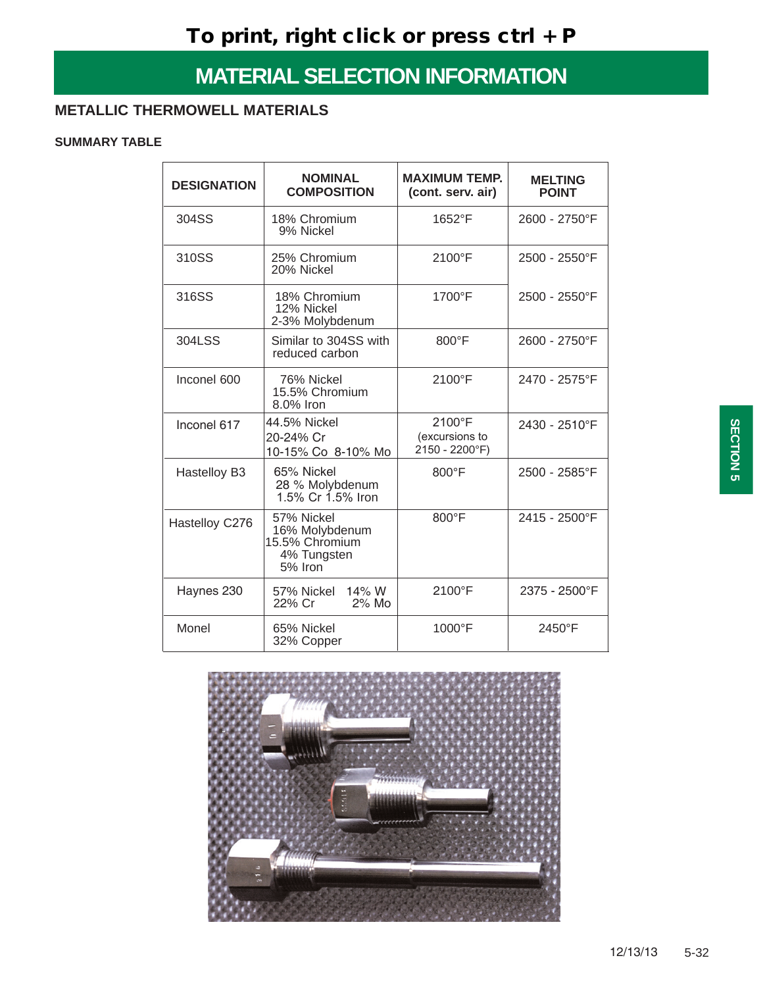### **METALLIC THERMOWELL MATERIALS**

### **SUMMARY TABLE**

| <b>DESIGNATION</b> | <b>NOMINAL</b><br><b>COMPOSITION</b>                                     | <b>MAXIMUM TEMP.</b><br>(cont. serv. air)  | <b>MELTING</b><br><b>POINT</b> |
|--------------------|--------------------------------------------------------------------------|--------------------------------------------|--------------------------------|
| 304SS              | 18% Chromium<br>9% Nickel                                                | 1652°F                                     | 2600 - 2750°F                  |
| 310SS              | 25% Chromium<br>20% Nickel                                               | 2100°F                                     | 2500 - 2550°F                  |
| 316SS              | 18% Chromium<br>12% Nickel<br>2-3% Molybdenum                            | 1700°F                                     | 2500 - 2550°F                  |
| 304LSS             | Similar to 304SS with<br>reduced carbon                                  | 800°F                                      | 2600 - 2750°F                  |
| Inconel 600        | 76% Nickel<br>15.5% Chromium<br>8.0% Iron                                | 2100°F                                     | 2470 - 2575°F                  |
| Inconel 617        | 44.5% Nickel<br>20-24% Cr<br>10-15% Co 8-10% Mo                          | 2100°F<br>(excursions to<br>2150 - 2200°F) | 2430 - 2510°F                  |
| Hastelloy B3       | 65% Nickel<br>28 % Molybdenum<br>1.5% Cr 1.5% Iron                       | $800^{\circ}$ F                            | 2500 - 2585°F                  |
| Hastelloy C276     | 57% Nickel<br>16% Molybdenum<br>15.5% Chromium<br>4% Tungsten<br>5% Iron | 800°F                                      | 2415 - 2500°F                  |
| Haynes 230         | 57% Nickel 14% W<br>2% Mo<br>22% Cr                                      | 2100°F                                     | 2375 - 2500°F                  |
| Monel              | 65% Nickel<br>32% Copper                                                 | 1000°F                                     | 2450°F                         |

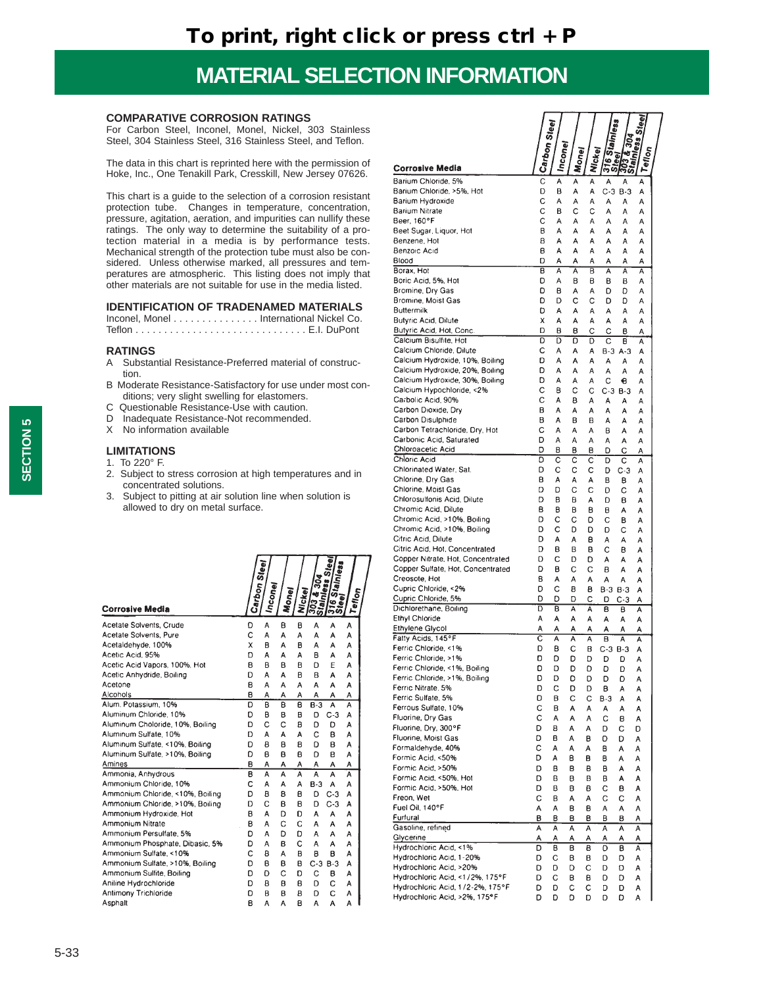#### **COMPARATIVE CORROSION RATINGS**

For Carbon Steel, Inconel, Monel, Nickel, 303 Stainless Steel, 304 Stainless Steel, 316 Stainless Steel, and Teflon.

The data in this chart is reprinted here with the permission of Hoke, Inc., One Tenakill Park, Cresskill, New Jersey 07626.

This chart is a guide to the selection of a corrosion resistant protection tube. Changes in temperature, concentration, pressure, agitation, aeration, and impurities can nullify these ratings. The only way to determine the suitability of a protection material in a media is by performance tests. Mechanical strength of the protection tube must also be considered. Unless otherwise marked, all pressures and temperatures are atmospheric. This listing does not imply that other materials are not suitable for use in the media listed.

#### **IDENTIFICATION OF TRADENAMED MATERIALS**

Inconel, Monel . . . . . . . . . . . . . . . International Nickel Co. Teflon . . . . . . . . . . . . . . . . . . . . . . . . . . . . . . E.I. DuPont

#### **RATINGS**

- A Substantial Resistance-Preferred material of construction.
- B Moderate Resistance-Satisfactory for use under most conditions; very slight swelling for elastomers.
- C Questionable Resistance-Use with caution.
- D Inadequate Resistance-Not recommended.
- X No information available

#### **LIMITATIONS**

- 1. To 220° F.
- 2. Subject to stress corrosion at high temperatures and in concentrated solutions.
- 3. Subject to pitting at air solution line when solution is allowed to dry on metal surface.

|                                  | Carbon Steel | <b>Inconet</b> | Money | <b>Nickel</b>  | $rac{a}{a}$ | ē<br>Stainless<br>leel | Tellon |  |
|----------------------------------|--------------|----------------|-------|----------------|-------------|------------------------|--------|--|
| <b>Corrosive Media</b>           |              |                |       |                |             | ົ້າທີ                  |        |  |
| Acetate Solvents, Crude          | D            | A              | B     | B              | A           | A                      | A      |  |
| Acetate Solvents, Pure           | C            | A              | A     | A              | A           | A                      | A      |  |
| Acetaldehyde, 100%               | X            | в              | A     | B              | A           | A                      | A      |  |
| Acetic Acid, 95%                 | D            | A              | А     | A              | B           | A                      | A      |  |
| Acetic Acid Vapors, 100%, Hot    | B            | B              | в     | в              | o           | E                      | A      |  |
| Acetic Anhydride, Boiling        | D            | А              | А     | B              | B           | A                      | A      |  |
| Acetone                          | в            | A              | A     | A              | А           | A                      | A      |  |
| Alcohols                         | B            | Α              | А     | А              | Α           | A                      | А      |  |
| Alum. Potassium, 10%             | D            | B              | B     | B              | $B-3$       | A                      | Ā      |  |
| Aluminum Chloride, 10%           | D            | в              | в     | B              | D           | $C-3$                  | A      |  |
| Aluminum Choloride, 10%, Boiling | D            | C              | Ċ     | B              | D           | D                      | A      |  |
| Aluminum Sulfate, 10%            | D            | A              | А     | A              | C           | в                      | A      |  |
| Aluminum Sulfate, <10%, Boiling  | D            | в              | в     | 8              | D           | B                      | A      |  |
| Aluminum Sulfate, >10%, Boiling  | D            | B              | B     | B              | D           | в                      | A      |  |
| Amines                           | в            | А              | Α     | Α              | А           | A                      | Α      |  |
| Ammonia, Anhydrous               | B            | A              | A     | $\overline{A}$ | Ā           | $\overline{A}$         | Ä      |  |
| Ammonium Chloride, 10%           | C            | A              | A     | A              | $B-3$       | A                      | A      |  |
| Ammonium Chloride, <10%, Boiling | D            | B              | 8     | в              | D           | $C-3$                  | A      |  |
| Ammonium Chloride, >10%, Boiling | D            | Ċ              | B     | B              | D           | $C-3$                  | A      |  |
| Ammonium Hydroxide, Hot          | B            | А              | D     | D              | А           | A                      | Α      |  |
| Ammonium Nitrate                 | в            | A              | C     | C              | A           | A                      | A      |  |
| Ammonium Persulfate, 5%          | D            | A              | D     | D              | A           | A                      | A      |  |
| Ammonium Phosphate, Dibasic, 5%  | D            | A              | B     | C              | Α           | А                      | A      |  |
| Ammonium Sulfate, <10%           | Ċ            | B              | A     | B              | в           | в                      | A      |  |
| Ammonium Sulfate, >10%, Boiling  | D            | в              | в     | в              | $C-3$       | $B-3$                  | A      |  |
| Ammonium Sulfite, Boiling        | D            | D              | C     | D              | C           | в                      | A      |  |
| Aniline Hydrochloride            | D            | в              | в     | B              | D           | C                      | А      |  |
| <b>Antimony Trichloride</b>      | D            | в              | B     | B              | D           | C                      | Α      |  |
| Asphalt                          | B            | A              | A     | B              | A           | A                      | A      |  |

|                                                                     |                         | Steel   |              |            | ain<br>あ      |                  | ہے<br>م<br>Ŵ<br>å, |  |
|---------------------------------------------------------------------|-------------------------|---------|--------------|------------|---------------|------------------|--------------------|--|
| <b>Corrosive Media</b>                                              | ICarbon <sub>s</sub>    | Inconel | <b>Monet</b> | dckel<br>ž | $rac{16}{36}$ | ē<br><b>1959</b> | reflon<br>lain)    |  |
| Barium Chloride, 5%                                                 | Ċ                       | A       | A            | А          | A             | Α                | A                  |  |
| Barium Chloride, >5%, Hot                                           | D                       | B       | А            | А          | C-3           | $B-3$            | А                  |  |
| Barium Hydroxide                                                    | С                       | А       | А            | А          | A             | A                | A                  |  |
| Barium Nitrate                                                      | C                       | В       | с            | с          | A             | A                | Α                  |  |
| Beer, 160°F<br>Beet Sugar, Liquor, Hot                              | С<br>в                  | А<br>A  | А<br>А       | А<br>А     | А<br>A        | Α<br>A           | А<br>А             |  |
| Benzene, Hot                                                        | в                       | А       | А            | А          | А             | А                | А                  |  |
| Benzoic Acid                                                        | в                       | A       | А            | А          | A             | A                | А                  |  |
| Blood                                                               | D                       | А       | А            | А          | А             | А                | А                  |  |
| Borax, Hot                                                          | $\overline{\mathsf{B}}$ | A       | Ā            | B          | А             | Ā                | Ā                  |  |
| Boric Acid, 5%, Hot<br>Bromine, Dry Gas                             | D<br>D                  | А<br>в  | B<br>Α       | в<br>А     | в<br>D        | в<br>D           | Α<br>A             |  |
| Bromine, Moist Gas                                                  | D                       | D       | с            | с          | D             | D                | А                  |  |
| Buttermilk                                                          | D                       | A       | А            | A          | А             | А                | А                  |  |
| Butyric Acid, Dilute                                                | x                       | Α       | А            | А          | А             | A                | A                  |  |
| Butyric Acid, Hot, Conc.                                            | D                       | в       | в            | С          | С             | в                | A                  |  |
| Calcium Bisulfite, Hot<br>Calcium Chloride, Dilute                  | D<br>с                  | D<br>А  | D<br>А       | D          | С             | в                | А                  |  |
| Calcium Hydroxide, 10%, Boiling                                     | D                       | А       | А            | А<br>А     | B-3<br>A      | $A-3$<br>А       | A<br>A             |  |
| Calcium Hydroxide, 20%, Boiling                                     | D                       | А       | А            | А          | А             | A                | А                  |  |
| Calcium Hydroxide, 30%, Boiling                                     | D                       | А       | А            | А          | C             | €                | А                  |  |
| Calcium Hypochloride, <2%                                           | с                       | в       | с            | С          | C-3           | $B-3$            | А                  |  |
| Carbolic Acid, 90%                                                  | с                       | A       | В            | А          | А             | А                | А                  |  |
| Carbon Dioxide, Dry<br>Carbon Disulphide                            | в                       | А       | А            | Α          | A             | A                | A                  |  |
| Carbon Tetrachloride, Dry, Hot                                      | В<br>С                  | A<br>А  | в<br>А       | в<br>А     | А<br>в        | А<br>A           | А<br>А             |  |
| Carbonic Acid, Saturated                                            | D                       | А       | A            | А          | A             | A                | A                  |  |
| Chloroacetic Acid                                                   | D                       | в       | в            | в          | D             | с                | А                  |  |
| Chloric Acid                                                        | D                       | C       | С            | С          | D             | С                | A                  |  |
| Chlorinated Water, Sat.                                             | D                       | С       | с            | С          | D             | $C-3$            | A                  |  |
| Chlorine, Dry Gas<br>Chlorine, Moist Gas                            | в<br>D                  | A<br>D  | А<br>с       | A<br>С     | в<br>D        | в<br>С           | A                  |  |
| Chlorosulfonis Acid, Dilute                                         | D                       | в       | в            | А          | D             | в                | А<br>A             |  |
| Chromic Acid, Dilute                                                | в                       | в       | в            | в          | в             | A                | А                  |  |
| Chromic Acid, >10%, Boiling                                         | D                       | С       | С            | D          | С             | в                | A                  |  |
| Chromic Acid, >10%, Boiling                                         | D                       | с       | D            | D          | D             | С                | А                  |  |
| Citric Acid, Dilute                                                 | D<br>D                  | А       | A            | в          | А             | А                | Α                  |  |
| Citric Acid, Hot, Concentrated<br>Copper Nitrate, Hot, Concentrated | D                       | в<br>с  | в<br>D       | в<br>D     | с<br>A        | в<br>Α           | A<br>Α             |  |
| Copper Sulfate, Hot, Concentrated                                   | D                       | в       | с            | С          | в             | А                | A                  |  |
| Creosote, Hot                                                       | В                       | А       | А            | A          | А             | А                | А                  |  |
| Cupric Chloride, <2%                                                | D                       | Ċ       | в            | в          |               | B-3 B-3          | А                  |  |
| Cupric Chloride, 5%<br>Dichlorethane, Boiling                       | D<br>D                  | D<br>в  | D<br>A       | С          | D             | $C-3$            | A                  |  |
| Ethyl Chloride                                                      | A                       | Α       | Α            | A<br>А     | в<br>А        | в<br>A           | А<br>А             |  |
| Ethylene Glycol                                                     | A                       | А       | А            | А          | А             | A                | Α                  |  |
| Fatty Acids, 145°F                                                  | $\overline{\text{c}}$   | A       | Ä            | Ā          | В             | Ā                | A                  |  |
| Ferric Chloride, <1%                                                | D                       | в       | с            | в          |               | C-3 B-3          | А                  |  |
| Ferric Chloride, >1%<br>Ferric Chloride, <1%, Boiling               | D<br>D                  | D       | D            | D          | D             | D                | A                  |  |
| Ferric Chloride, >1%, Boiling                                       | D                       | D<br>D  | D<br>D       | D<br>D     | D<br>D        | D<br>D           | Α<br>Α             |  |
| Ferric Nitrate, 5%                                                  | D                       | с       | D            | D          | в             | Α                | Α                  |  |
| Ferric Sulfate, 5%                                                  | D                       | в       | С            | С          | B-3           | А                | А                  |  |
| Ferrous Sulfate, 10%                                                | С                       | в       | Α            | Α          | Α             | А                | Α                  |  |
| Fluorine, Dry Gas                                                   | С                       | A       | А            | А          | с             | в                | Α                  |  |
| Fluorine, Dry, 300°F<br>Fluorine, Moist Gas                         | D<br>D                  | В<br>в  | А<br>А       | A          | D             | С                | D                  |  |
| Formaldehyde, 40%                                                   | С                       | А       | A            | в<br>A     | o<br>в        | D<br>Α           | Α<br>A             |  |
| Formic Acid, <50%                                                   | D                       | А       | в            | в          | в             | А                | А                  |  |
| Formic Acid, >50%                                                   | D                       | в       | в            | В          | в             | А                | Α                  |  |
| Formic Acid, <50%, Hot                                              | D                       | в       | в            | B          | в             | А                | A                  |  |
| Formic Acid, >50%, Hot                                              | D                       | в       | в            | в          | с             | 8                | A                  |  |
| Freon, Wet<br>Fuel Oil, 140°F                                       | с<br>А                  | в<br>А  | А            | А<br>в     | с<br>А        | с                | А                  |  |
| Furfural                                                            | в                       | в       | в<br>в       | в          | в             | А<br>в           | А<br>А             |  |
| Gasoline, refined                                                   | А                       | А       | A            | Α          | A             | Α                | А                  |  |
| Glycerine                                                           | А                       | Α       | Α            | Α          | А             | Α                | А                  |  |
| Hydrochloric Acid, <1%                                              | D                       | в       | в            | в          | D             | в                | A                  |  |
| Hydrochloric Acid, 1-20%                                            | D                       | С       | в            | в          | D             | D                | Α                  |  |
| Hydrochloric Acid, >20%<br>Hydrochloric Acid, <1/2%, 175°F          | D<br>D                  | D<br>С  | D<br>в       | с<br>в     | D<br>D        | D<br>D           | А<br>A             |  |
| Hydrochloric Acid, 1/2-2%, 175°F                                    | D                       | D       | с            | с          | D             | D                | Α                  |  |
| Hydrochloric Acid, >2%, 175°F                                       | D                       | D       | D            | D          | D             | D                | А                  |  |
|                                                                     |                         |         |              |            |               |                  |                    |  |